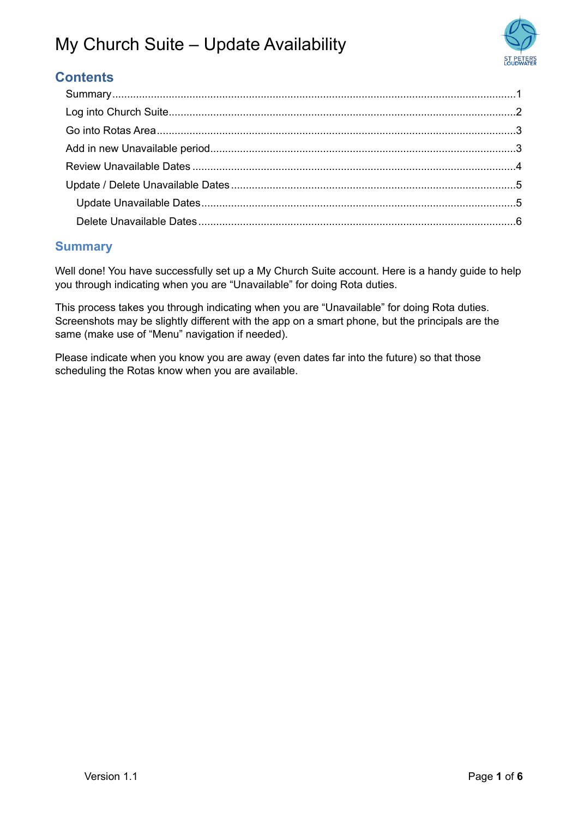

### **Contents**

#### <span id="page-0-0"></span>**Summary**

Well done! You have successfully set up a My Church Suite account. Here is a handy guide to help you through indicating when you are "Unavailable" for doing Rota duties.

This process takes you through indicating when you are "Unavailable" for doing Rota duties. Screenshots may be slightly different with the app on a smart phone, but the principals are the same (make use of "Menu" navigation if needed).

Please indicate when you know you are away (even dates far into the future) so that those scheduling the Rotas know when you are available.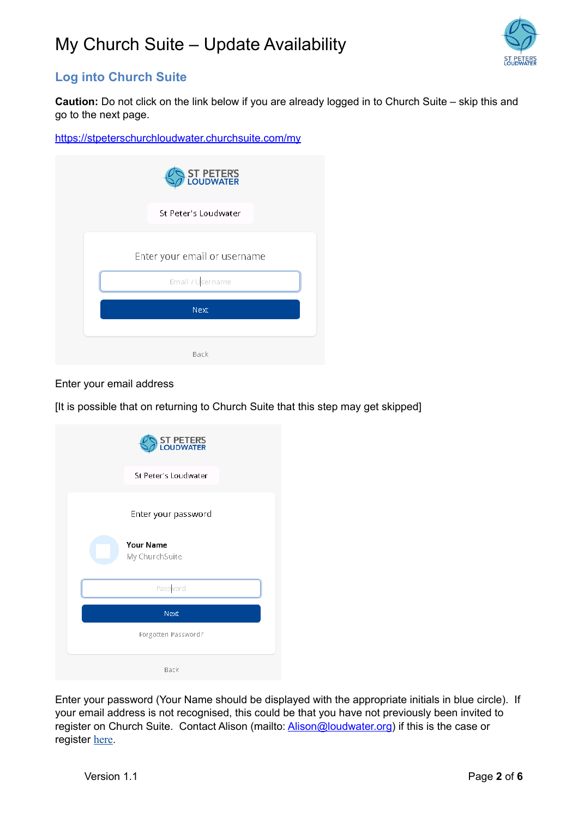

### <span id="page-1-0"></span>**Log into Church Suite**

**Caution:** Do not click on the link below if you are already logged in to Church Suite – skip this and go to the next page.

<https://stpeterschurchloudwater.churchsuite.com/my>

| <b>ST PETERS</b><br>LOUDWATER |
|-------------------------------|
| St Peter's Loudwater          |
| Enter your email or username  |
| Email / Username              |
| Next                          |
| Back                          |

Enter your email address

[It is possible that on returning to Church Suite that this step may get skipped]

| ST PETERS<br>LOUDWATER             |
|------------------------------------|
| St Peter's Loudwater               |
| Enter your password                |
| <b>Your Name</b><br>My ChurchSuite |
| Password                           |
| Next                               |
| Forgotten Password?                |
| Back                               |

Enter your password (Your Name should be displayed with the appropriate initials in blue circle). If your email address is not recognised, this could be that you have not previously been invited to register on Church Suite. Contact Alison (mailto: **Alison@loudwater.org**) if this is the case or register [here](https://stpetersloudwater.org/Articles/624893/CHURCH_MANAGEMENT_SYSTEM.aspx).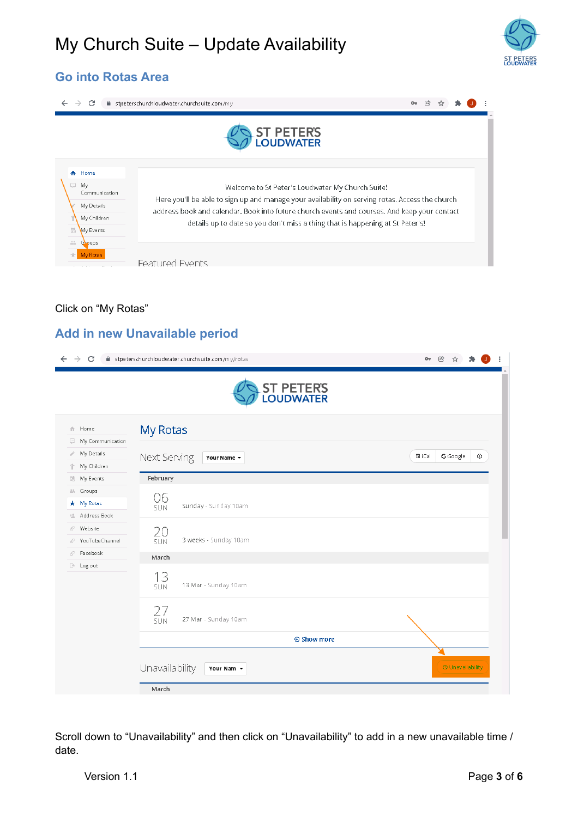

### <span id="page-2-0"></span>**Go into Rotas Area**

|                                             | C<br>$\rightarrow$                                                                       | ■ stpeterschurchloudwater.churchsuite.com/my<br><b>ST PETERS</b><br>LOUDWATER                                                                                                                                                                                                                                                        |  |  |  |
|---------------------------------------------|------------------------------------------------------------------------------------------|--------------------------------------------------------------------------------------------------------------------------------------------------------------------------------------------------------------------------------------------------------------------------------------------------------------------------------------|--|--|--|
| $\Box$<br>昂<br>$\frac{1}{2\pi} \frac{1}{2}$ | A Home<br>My<br>Communication<br>My Details<br>My Children<br><b>Wy Events</b><br>Groups | Welcome to St Peter's Loudwater My Church Suite!<br>Here you'll be able to sign up and manage your availability on serving rotas. Access the church<br>address book and calendar. Book into future church events and courses. And keep your contact<br>details up to date so you don't miss a thing that is happening at St Peter's! |  |  |  |
|                                             | <b>My Rotas</b>                                                                          | <b>Featured Events</b>                                                                                                                                                                                                                                                                                                               |  |  |  |

#### Click on "My Rotas"

#### <span id="page-2-1"></span>**Add in new Unavailable period**

| C<br>→                | iii stpeterschurchloudwater.churchsuite.com/my/rotas | $\mathcal{C}$<br>$O_T$           |
|-----------------------|------------------------------------------------------|----------------------------------|
|                       | <b>ST PETERS</b><br>LOUDWATER                        |                                  |
| 合 Home                | My Rotas                                             |                                  |
| My Communication<br>۰ |                                                      |                                  |
| My Details<br>ï       | Next Serving<br>Your Name $\sim$                     | 置 iCal<br>G Google<br>$_{\odot}$ |
| My Children<br>Ϋ      |                                                      |                                  |
| <b>ill</b> My Events  | February                                             |                                  |
| Groups<br>* My Rotas  | 06                                                   |                                  |
| 2 Address Book        | Sunday - Sunday 10am<br><b>SUN</b>                   |                                  |
| Website<br>F          |                                                      |                                  |
| YouTubeChannel<br>F   | 20<br>3 weeks - Sunday 10am<br><b>SUN</b>            |                                  |
| Facebook<br>vP.       | March                                                |                                  |
| <b>B</b> Log out      | 13<br>13 Mar - Sunday 10am<br><b>SUN</b>             |                                  |
|                       | $27$<br>sun<br>27 Mar - Sunday 10am                  |                                  |
|                       | ⊕ Show more                                          |                                  |
|                       | Unavailability<br>Your Nam -                         | <b>E</b> Unavailability          |
|                       | March                                                |                                  |

Scroll down to "Unavailability" and then click on "Unavailability" to add in a new unavailable time / date.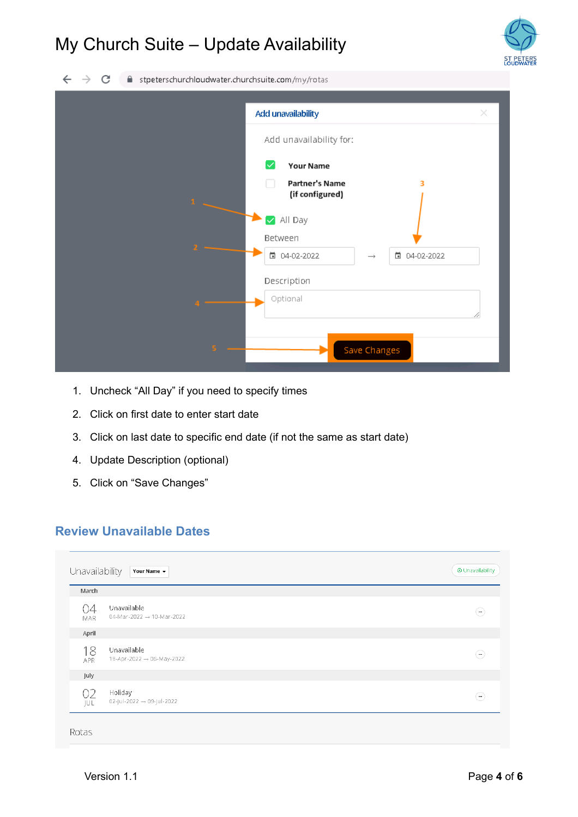

 $\leftarrow$   $\rightarrow$  C fil stpeterschurchloudwater.churchsuite.com/my/rotas

| Add unavailability                                     | × |
|--------------------------------------------------------|---|
| Add unavailability for:                                |   |
| ✓<br><b>Your Name</b>                                  |   |
| <b>Partner's Name</b><br>з<br>(if configured)<br>$1 -$ |   |
| All Day<br>$\blacktriangledown$<br>Between             |   |
| □ 04-02-2022<br>□ 04-02-2022<br>$\rightarrow$          |   |
| Description                                            |   |
| Optional                                               |   |
| Save Changes<br>S.                                     |   |

- 1. Uncheck "All Day" if you need to specify times
- 2. Click on first date to enter start date
- 3. Click on last date to specific end date (if not the same as start date)
- 4. Update Description (optional)
- 5. Click on "Save Changes"

#### <span id="page-3-0"></span>**Review Unavailable Dates**

| March            |                                                      |          |
|------------------|------------------------------------------------------|----------|
| 04<br><b>MAR</b> | Unavailable<br>04-Mar-2022 $\rightarrow$ 10-Mar-2022 | ۳        |
| April            |                                                      |          |
| 18<br><b>APR</b> | Unavailable<br>18-Apr-2022 → 06-May-2022             | $\cdots$ |
| July             |                                                      |          |
| 02<br>JUL.       | Holiday<br>$02$ -Jul-2022 $\rightarrow 09$ -Jul-2022 | $\cdots$ |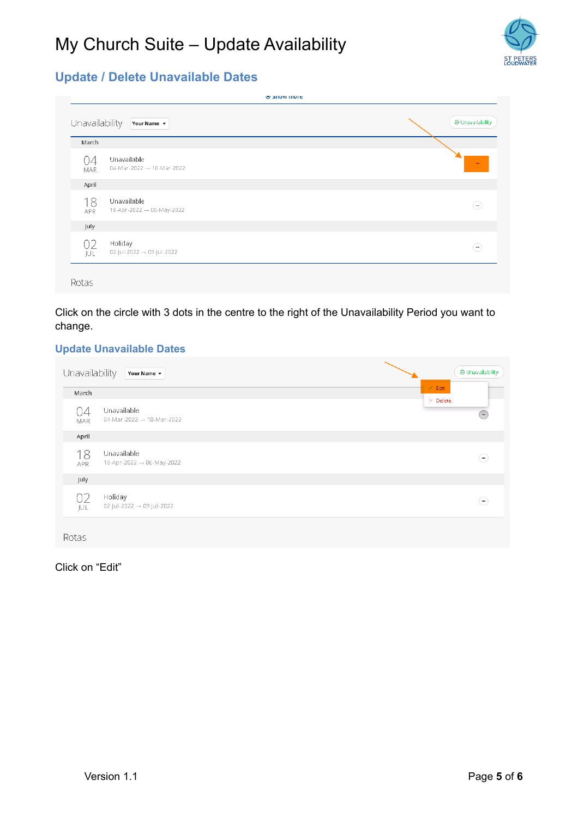

### <span id="page-4-0"></span>**Update / Delete Unavailable Dates**

| March     |                                                      |                   |
|-----------|------------------------------------------------------|-------------------|
| U4<br>MAR | Unavailable<br>04-Mar-2022 $\rightarrow$ 10-Mar-2022 | $\mathbf{m}$      |
| April     |                                                      |                   |
| 18<br>APR | Unavailable<br>18-Apr-2022 → 06-May-2022             | $\left( -\right)$ |
| July      |                                                      |                   |
| 02<br>JUL | Holiday<br>$02$ -Jul-2022 $\rightarrow 09$ -Jul-2022 | $\overline{a}$    |

Click on the circle with 3 dots in the centre to the right of the Unavailability Period you want to change.

#### <span id="page-4-1"></span>**Update Unavailable Dates**

| Unavailability   | Your Name $\sim$                                        | <b>E</b> Unavailability                           |  |
|------------------|---------------------------------------------------------|---------------------------------------------------|--|
| March            |                                                         | $\angle$ Edit                                     |  |
| 04<br><b>MAR</b> | Unavailable<br>$04$ -Mar-2022 $\rightarrow$ 10-Mar-2022 | $\times$ Delete<br>$\overline{(\cdot\cdot\cdot)}$ |  |
| April            |                                                         |                                                   |  |
| 18<br><b>APR</b> | Unavailable<br>18-Apr-2022 → 06-May-2022                | $\left( -\right)$                                 |  |
| July             |                                                         |                                                   |  |
| 02<br>JUL        | Holiday<br>$02$ -Jul-2022 $\rightarrow 09$ -Jul-2022    | $\cdots$                                          |  |
| Rotas            |                                                         |                                                   |  |

Click on "Edit"